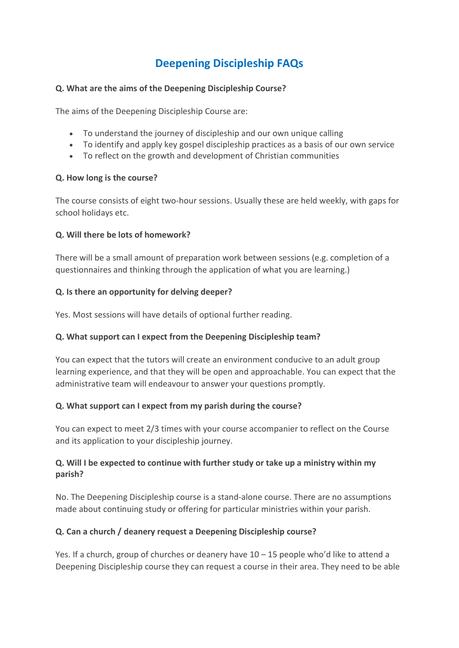# **Deepening Discipleship FAQs**

#### **Q. What are the aims of the Deepening Discipleship Course?**

The aims of the Deepening Discipleship Course are:

- To understand the journey of discipleship and our own unique calling
- To identify and apply key gospel discipleship practices as a basis of our own service
- To reflect on the growth and development of Christian communities

#### **Q. How long is the course?**

The course consists of eight two-hour sessions. Usually these are held weekly, with gaps for school holidays etc.

#### **Q. Will there be lots of homework?**

There will be a small amount of preparation work between sessions (e.g. completion of a questionnaires and thinking through the application of what you are learning.)

#### **Q. Is there an opportunity for delving deeper?**

Yes. Most sessions will have details of optional further reading.

## **Q. What support can I expect from the Deepening Discipleship team?**

You can expect that the tutors will create an environment conducive to an adult group learning experience, and that they will be open and approachable. You can expect that the administrative team will endeavour to answer your questions promptly.

## **Q. What support can I expect from my parish during the course?**

You can expect to meet 2/3 times with your course accompanier to reflect on the Course and its application to your discipleship journey.

# **Q. Will I be expected to continue with further study or take up a ministry within my parish?**

No. The Deepening Discipleship course is a stand-alone course. There are no assumptions made about continuing study or offering for particular ministries within your parish.

## **Q. Can a church / deanery request a Deepening Discipleship course?**

Yes. If a church, group of churches or deanery have 10 – 15 people who'd like to attend a Deepening Discipleship course they can request a course in their area. They need to be able